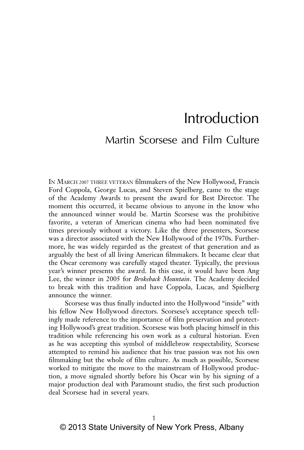## Introduction Martin Scorsese and Film Culture

IN MARCH 2007 THREE VETERAN filmmakers of the New Hollywood, Francis Ford Coppola, George Lucas, and Steven Spielberg, came to the stage of the Academy Awards to present the award for Best Director. The moment this occurred, it became obvious to anyone in the know who the announced winner would be. Martin Scorsese was the prohibitive favorite, a veteran of American cinema who had been nominated five times previously without a victory. Like the three presenters, Scorsese was a director associated with the New Hollywood of the 1970s. Further– more, he was widely regarded as the greatest of that generation and as arguably the best of all living American filmmakers. It became clear that the Oscar ceremony was carefully staged theater. Typically, the previous year's winner presents the award. In this case, it would have been Ang Lee, the winner in 2005 for *Brokeback Mountain*. The Academy decided to break with this tradition and have Coppola, Lucas, and Spielberg announce the winner.

Scorsese was thus finally inducted into the Hollywood "inside" with his fellow New Hollywood directors. Scorsese's acceptance speech tellingly made reference to the importance of film preservation and protecting Hollywood's great tradition. Scorsese was both placing himself in this tradition while referencing his own work as a cultural historian. Even as he was accepting this symbol of middlebrow respectability, Scorsese attempted to remind his audience that his true passion was not his own filmmaking but the whole of film culture. As much as possible, Scorsese worked to mitigate the move to the mainstream of Hollywood production, a move signaled shortly before his Oscar win by his signing of a major production deal with Paramount studio, the first such production deal Scorsese had in several years.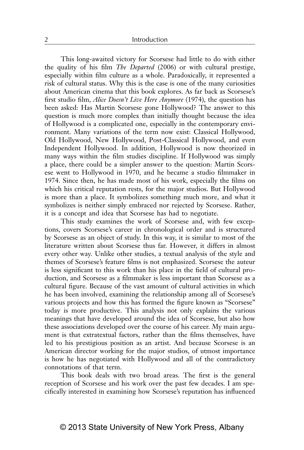This long-awaited victory for Scorsese had little to do with either the quality of his film *The Departed* (2006) or with cultural prestige, especially within film culture as a whole. Paradoxically, it represented a risk of cultural status. Why this is the case is one of the many curiosities about American cinema that this book explores. As far back as Scorsese's first studio film, *Alice Doesn't Live Here Anymore* (1974), the question has been asked: Has Martin Scorsese gone Hollywood? The answer to this question is much more complex than initially thought because the idea of Hollywood is a complicated one, especially in the contemporary environment. Many variations of the term now exist: Classical Hollywood, Old Hollywood, New Hollywood, Post-Classical Hollywood, and even Independent Hollywood. In addition, Hollywood is now theorized in many ways within the film studies discipline. If Hollywood was simply a place, there could be a simpler answer to the question: Martin Scors– ese went to Hollywood in 1970, and he became a studio filmmaker in 1974. Since then, he has made most of his work, especially the films on which his critical reputation rests, for the major studios. But Hollywood is more than a place. It symbolizes something much more, and what it symbolizes is neither simply embraced nor rejected by Scorsese. Rather, it is a concept and idea that Scorsese has had to negotiate.

This study examines the work of Scorsese and, with few exceptions, covers Scorsese's career in chronological order and is structured by Scorsese as an object of study. In this way, it is similar to most of the literature written about Scorsese thus far. However, it differs in almost every other way. Unlike other studies, a textual analysis of the style and themes of Scorsese's feature films is not emphasized. Scorsese the auteur is less significant to this work than his place in the field of cultural production, and Scorsese as a filmmaker is less important than Scorsese as a cultural figure. Because of the vast amount of cultural activities in which he has been involved, examining the relationship among all of Scorsese's various projects and how this has formed the figure known as "Scorsese" today is more productive. This analysis not only explains the various meanings that have developed around the idea of Scorsese, but also how these associations developed over the course of his career. My main argument is that extratextual factors, rather than the films themselves, have led to his prestigious position as an artist. And because Scorsese is an American director working for the major studios, of utmost importance is how he has negotiated with Hollywood and all of the contradictory connotations of that term.

This book deals with two broad areas. The first is the general reception of Scorsese and his work over the past few decades. I am specifically interested in examining how Scorsese's reputation has influenced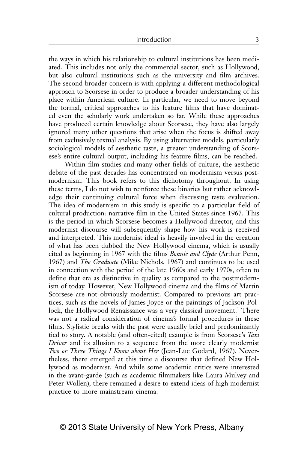the ways in which his relationship to cultural institutions has been mediated. This includes not only the commercial sector, such as Hollywood, but also cultural institutions such as the university and film archives. The second broader concern is with applying a different methodological approach to Scorsese in order to produce a broader understanding of his place within American culture. In particular, we need to move beyond the formal, critical approaches to his feature films that have dominated even the scholarly work undertaken so far. While these approaches have produced certain knowledge about Scorsese, they have also largely ignored many other questions that arise when the focus is shifted away from exclusively textual analysis. By using alternative models, particularly sociological models of aesthetic taste, a greater understanding of Scorsese's entire cultural output, including his feature films, can be reached.

Within film studies and many other fields of culture, the aesthetic debate of the past decades has concentrated on modernism versus postmodernism. This book refers to this dichotomy throughout. In using these terms, I do not wish to reinforce these binaries but rather acknowledge their continuing cultural force when discussing taste evaluation. The idea of modernism in this study is specific to a particular field of cultural production: narrative film in the United States since 1967. This is the period in which Scorsese becomes a Hollywood director, and this modernist discourse will subsequently shape how his work is received and interpreted. This modernist ideal is heavily involved in the creation of what has been dubbed the New Hollywood cinema, which is usually cited as beginning in 1967 with the films *Bonnie and Clyde* (Arthur Penn, 1967) and *The Graduate* (Mike Nichols, 1967) and continues to be used in connection with the period of the late 1960s and early 1970s, often to define that era as distinctive in quality as compared to the postmodernism of today. However, New Hollywood cinema and the films of Martin Scorsese are not obviously modernist. Compared to previous art practices, such as the novels of James Joyce or the paintings of Jackson Pollock, the Hollywood Renaissance was a very classical movement.<sup>1</sup> There was not a radical consideration of cinema's formal procedures in these films. Stylistic breaks with the past were usually brief and predominantly tied to story. A notable (and often-cited) example is from Scorsese's *Taxi Driver* and its allusion to a sequence from the more clearly modernist *Two or Three Things I Know about Her* (Jean-Luc Godard, 1967). Nevertheless, there emerged at this time a discourse that defined New Hollywood as modernist. And while some academic critics were interested in the avant‑garde (such as academic filmmakers like Laura Mulvey and Peter Wollen), there remained a desire to extend ideas of high modernist practice to more mainstream cinema.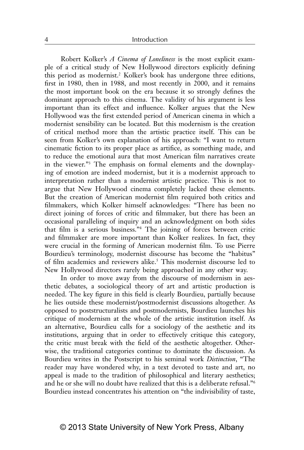Robert Kolker's *A Cinema of Loneliness* is the most explicit example of a critical study of New Hollywood directors explicitly defining this period as modernist.<sup>2</sup> Kolker's book has undergone three editions, first in 1980, then in 1988, and most recently in 2000, and it remains the most important book on the era because it so strongly defines the dominant approach to this cinema. The validity of his argument is less important than its effect and influence. Kolker argues that the New Hollywood was the first extended period of American cinema in which a modernist sensibility can be located. But this modernism is the creation of critical method more than the artistic practice itself. This can be seen from Kolker's own explanation of his approach: "I want to return cinematic fiction to its proper place as artifice, as something made, and to reduce the emotional aura that most American film narratives create in the viewer."<sup>3</sup> The emphasis on formal elements and the downplaying of emotion are indeed modernist, but it is a modernist approach to interpretation rather than a modernist artistic practice. This is not to argue that New Hollywood cinema completely lacked these elements. But the creation of American modernist film required both critics and filmmakers, which Kolker himself acknowledges: "There has been no direct joining of forces of critic and filmmaker, but there has been an occasional paralleling of inquiry and an acknowledgment on both sides that film is a serious business." $4$  The joining of forces between critic and filmmaker are more important than Kolker realizes. In fact, they were crucial in the forming of American modernist film. To use Pierre Bourdieu's terminology, modernist discourse has become the "habitus" of film academics and reviewers alike.<sup>5</sup> This modernist discourse led to New Hollywood directors rarely being approached in any other way.

In order to move away from the discourse of modernism in aesthetic debates, a sociological theory of art and artistic production is needed. The key figure in this field is clearly Bourdieu, partially because he lies outside these modernist/postmodernist discussions altogether. As opposed to poststructuralists and postmodernists, Bourdieu launches his critique of modernism at the whole of the artistic institution itself. As an alternative, Bourdieu calls for a sociology of the aesthetic and its institutions, arguing that in order to effectively critique this category, the critic must break with the field of the aesthetic altogether. Otherwise, the traditional categories continue to dominate the discussion. As Bourdieu writes in the Postscript to his seminal work *Distinction*, "The reader may have wondered why, in a text devoted to taste and art, no appeal is made to the tradition of philosophical and literary aesthetics; and he or she will no doubt have realized that this is a deliberate refusal."6 Bourdieu instead concentrates his attention on "the indivisibility of taste,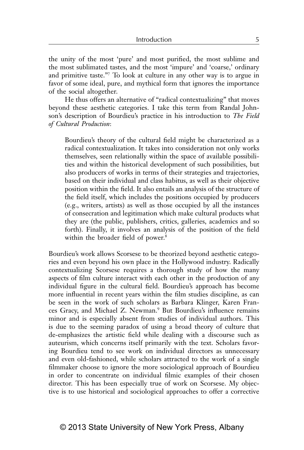the unity of the most 'pure' and most purified, the most sublime and the most sublimated tastes, and the most 'impure' and 'coarse,' ordinary and primitive taste."7 To look at culture in any other way is to argue in favor of some ideal, pure, and mythical form that ignores the importance of the social altogether.

He thus offers an alternative of "radical contextualizing" that moves beyond these aesthetic categories. I take this term from Randal Johnson's description of Bourdieu's practice in his introduction to *The Field of Cultural Production*:

Bourdieu's theory of the cultural field might be characterized as a radical contextualization. It takes into consideration not only works themselves, seen relationally within the space of available possibilities and within the historical development of such possibilities, but also producers of works in terms of their strategies and trajectories, based on their individual and class habitus, as well as their objective position within the field. It also entails an analysis of the structure of the field itself, which includes the positions occupied by producers (e.g., writers, artists) as well as those occupied by all the instances of consecration and legitimation which make cultural products what they are (the public, publishers, critics, galleries, academics and so forth). Finally, it involves an analysis of the position of the field within the broader field of power.<sup>8</sup>

Bourdieu's work allows Scorsese to be theorized beyond aesthetic categories and even beyond his own place in the Hollywood industry. Radically contextualizing Scorsese requires a thorough study of how the many aspects of film culture interact with each other in the production of any individual figure in the cultural field. Bourdieu's approach has become more influential in recent years within the film studies discipline, as can be seen in the work of such scholars as Barbara Klinger, Karen Frances Gracy, and Michael Z. Newman.<sup>9</sup> But Bourdieu's influence remains minor and is especially absent from studies of individual authors. This is due to the seeming paradox of using a broad theory of culture that de‑emphasizes the artistic field while dealing with a discourse such as auteurism, which concerns itself primarily with the text. Scholars favoring Bourdieu tend to see work on individual directors as unnecessary and even old-fashioned, while scholars attracted to the work of a single filmmaker choose to ignore the more sociological approach of Bourdieu in order to concentrate on individual filmic examples of their chosen director. This has been especially true of work on Scorsese. My objective is to use historical and sociological approaches to offer a corrective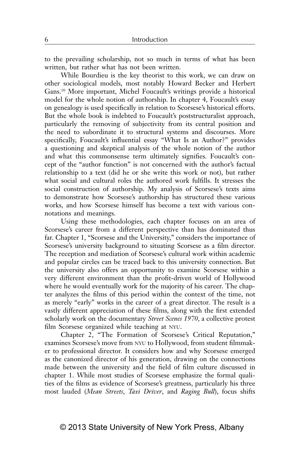to the prevailing scholarship, not so much in terms of what has been written, but rather what has not been written.

While Bourdieu is the key theorist to this work, we can draw on other sociological models, most notably Howard Becker and Herbert Gans.10 More important, Michel Foucault's writings provide a historical model for the whole notion of authorship. In chapter 4, Foucault's essay on genealogy is used specifically in relation to Scorsese's historical efforts. But the whole book is indebted to Foucault's poststructuralist approach, particularly the removing of subjectivity from its central position and the need to subordinate it to structural systems and discourses. More specifically, Foucault's influential essay "What Is an Author?" provides a questioning and skeptical analysis of the whole notion of the author and what this commonsense term ultimately signifies. Foucault's concept of the "author function" is not concerned with the author's factual relationship to a text (did he or she write this work or not), but rather what social and cultural roles the authored work fulfills. It stresses the social construction of authorship. My analysis of Scorsese's texts aims to demonstrate how Scorsese's authorship has structured these various works, and how Scorsese himself has become a text with various connotations and meanings.

Using these methodologies, each chapter focuses on an area of Scorsese's career from a different perspective than has dominated thus far. Chapter 1, "Scorsese and the University," considers the importance of Scorsese's university background to situating Scorsese as a film director. he reception and mediation of Scorsese's cultural work within academic and popular circles can be traced back to this university connection. But the university also offers an opportunity to examine Scorsese within a very different environment than the profit-driven world of Hollywood where he would eventually work for the majority of his career. The chapter analyzes the films of this period within the context of the time, not as merely "early" works in the career of a great director. The result is a vastly different appreciation of these films, along with the first extended scholarly work on the documentary *Street Scenes 1970*, a collective protest film Scorsese organized while teaching at nyu.

Chapter 2, "The Formation of Scorsese's Critical Reputation," examines Scorsese's move from NYU to Hollywood, from student filmmaker to professional director. It considers how and why Scorsese emerged as the canonized director of his generation, drawing on the connections made between the university and the field of film culture discussed in chapter 1. While most studies of Scorsese emphasize the formal qualities of the films as evidence of Scorsese's greatness, particularly his three most lauded (*Mean Streets*, *Taxi Driver*, and *Raging Bull*), focus shifts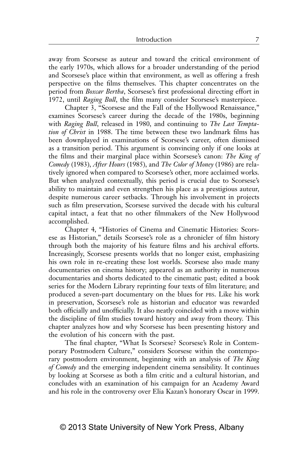away from Scorsese as auteur and toward the critical environment of the early 1970s, which allows for a broader understanding of the period and Scorsese's place within that environment, as well as offering a fresh perspective on the films themselves. This chapter concentrates on the period from *Boxcar Bertha*, Scorsese's first professional directing effort in 1972, until *Raging Bull*, the film many consider Scorsese's masterpiece.

Chapter 3, "Scorsese and the Fall of the Hollywood Renaissance," examines Scorsese's career during the decade of the 1980s, beginning with *Raging Bull*, released in 1980, and continuing to *The Last Temptation of Christ* in 1988. The time between these two landmark films has been downplayed in examinations of Scorsese's career, often dismissed as a transition period. This argument is convincing only if one looks at the films and their marginal place within Scorsese's canon: *The King of Comedy* (1983), *After Hours* (1985), and *The Color of Money* (1986) are rela‑ tively ignored when compared to Scorsese's other, more acclaimed works. But when analyzed contextually, this period is crucial due to Scorsese's ability to maintain and even strengthen his place as a prestigious auteur, despite numerous career setbacks. Through his involvement in projects such as film preservation, Scorsese survived the decade with his cultural capital intact, a feat that no other filmmakers of the New Hollywood accomplished.

Chapter 4, "Histories of Cinema and Cinematic Histories: Scorsese as Historian," details Scorsese's role as a chronicler of film history through both the majority of his feature films and his archival efforts. Increasingly, Scorsese presents worlds that no longer exist, emphasizing his own role in re-creating these lost worlds. Scorsese also made many documentaries on cinema history; appeared as an authority in numerous documentaries and shorts dedicated to the cinematic past; edited a book series for the Modern Library reprinting four texts of film literature; and produced a seven-part documentary on the blues for PBS. Like his work in preservation, Scorsese's role as historian and educator was rewarded both officially and unofficially. It also neatly coincided with a move within the discipline of film studies toward history and away from theory. This chapter analyzes how and why Scorsese has been presenting history and the evolution of his concern with the past.

The final chapter, "What Is Scorsese? Scorsese's Role in Contemporary Postmodern Culture," considers Scorsese within the contemporary postmodern environment, beginning with an analysis of *The King of Comedy* and the emerging independent cinema sensibility. It continues by looking at Scorsese as both a film critic and a cultural historian, and concludes with an examination of his campaign for an Academy Award and his role in the controversy over Elia Kazan's honorary Oscar in 1999.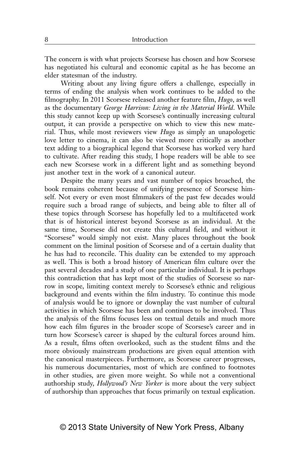The concern is with what projects Scorsese has chosen and how Scorsese has negotiated his cultural and economic capital as he has become an elder statesman of the industry.

Writing about any living figure offers a challenge, especially in terms of ending the analysis when work continues to be added to the filmography. In 2011 Scorsese released another feature film, *Hugo*, as well as the documentary *George Harrison: Living in the Material World*. While this study cannot keep up with Scorsese's continually increasing cultural output, it can provide a perspective on which to view this new material. Thus, while most reviewers view *Hugo* as simply an unapologetic love letter to cinema, it can also be viewed more critically as another text adding to a biographical legend that Scorsese has worked very hard to cultivate. After reading this study, I hope readers will be able to see each new Scorsese work in a different light and as something beyond just another text in the work of a canonical auteur.

Despite the many years and vast number of topics broached, the book remains coherent because of unifying presence of Scorsese himself. Not every or even most filmmakers of the past few decades would require such a broad range of subjects, and being able to filter all of these topics through Scorsese has hopefully led to a multifaceted work that is of historical interest beyond Scorsese as an individual. At the same time, Scorsese did not create this cultural field, and without it "Scorsese" would simply not exist. Many places throughout the book comment on the liminal position of Scorsese and of a certain duality that he has had to reconcile. This duality can be extended to my approach as well. This is both a broad history of American film culture over the past several decades and a study of one particular individual. It is perhaps this contradiction that has kept most of the studies of Scorsese so narrow in scope, limiting context merely to Scorsese's ethnic and religious background and events within the film industry. To continue this mode of analysis would be to ignore or downplay the vast number of cultural activities in which Scorsese has been and continues to be involved. Thus the analysis of the films focuses less on textual details and much more how each film figures in the broader scope of Scorsese's career and in turn how Scorsese's career is shaped by the cultural forces around him. As a result, films often overlooked, such as the student films and the more obviously mainstream productions are given equal attention with the canonical masterpieces. Furthermore, as Scorsese career progresses, his numerous documentaries, most of which are confined to footnotes in other studies, are given more weight. So while not a conventional authorship study, *Hollywood's New Yorker* is more about the very subject of authorship than approaches that focus primarily on textual explication.